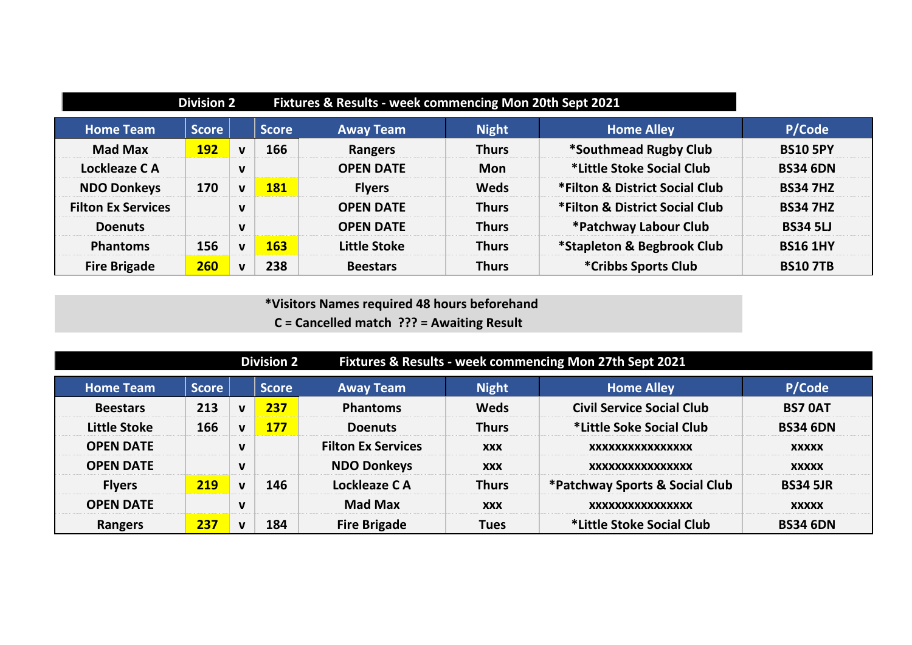|                           | <b>Division 2</b> |              |              | Fixtures & Results - week commencing Mon 20th Sept 2021 |              |                                |                 |
|---------------------------|-------------------|--------------|--------------|---------------------------------------------------------|--------------|--------------------------------|-----------------|
| <b>Home Team</b>          | <b>Score</b>      |              | <b>Score</b> | <b>Away Team</b>                                        | <b>Night</b> | <b>Home Alley</b>              | P/Code          |
| <b>Mad Max</b>            | 192               | $\mathbf v$  | 166          | Rangers                                                 | <b>Thurs</b> | *Southmead Rugby Club          | <b>BS10 5PY</b> |
| Lockleaze CA              |                   | $\mathbf v$  |              | <b>OPEN DATE</b>                                        | <b>Mon</b>   | *Little Stoke Social Club      | <b>BS34 6DN</b> |
| <b>NDO Donkeys</b>        | 170               | $\mathbf{v}$ | 181          | <b>Flyers</b>                                           | <b>Weds</b>  | *Filton & District Social Club | <b>BS34 7HZ</b> |
| <b>Filton Ex Services</b> |                   | $\mathbf v$  |              | <b>OPEN DATE</b>                                        | <b>Thurs</b> | *Filton & District Social Club | <b>BS34 7HZ</b> |
| <b>Doenuts</b>            |                   | $\mathbf v$  |              | <b>OPEN DATE</b>                                        | <b>Thurs</b> | *Patchway Labour Club          | <b>BS34 5LJ</b> |
| <b>Phantoms</b>           | 156               | $\mathbf{v}$ | 163          | <b>Little Stoke</b>                                     | <b>Thurs</b> | *Stapleton & Begbrook Club     | <b>BS16 1HY</b> |
| <b>Fire Brigade</b>       | 260               | $\mathbf{v}$ | 238          | <b>Beestars</b>                                         | <b>Thurs</b> | *Cribbs Sports Club            | <b>BS10 7TB</b> |

 **\*Visitors Names required 48 hours beforehand C = Cancelled match ??? = Awaiting Result**

|                     |              |              | <b>Division 2</b> |                           | Fixtures & Results - week commencing Mon 27th Sept 2021 |                                  |                 |  |
|---------------------|--------------|--------------|-------------------|---------------------------|---------------------------------------------------------|----------------------------------|-----------------|--|
| <b>Home Team</b>    | <b>Score</b> |              | <b>Score</b>      | <b>Away Team</b>          | <b>Night</b>                                            | <b>Home Alley</b>                | P/Code          |  |
| <b>Beestars</b>     | 213          | $\mathbf{v}$ | 237               | <b>Phantoms</b>           | <b>Weds</b>                                             | <b>Civil Service Social Club</b> | <b>BS7 OAT</b>  |  |
| <b>Little Stoke</b> | 166          | $\mathbf{v}$ | <b>177</b>        | <b>Doenuts</b>            | <b>Thurs</b>                                            | *Little Soke Social Club         | <b>BS34 6DN</b> |  |
| <b>OPEN DATE</b>    |              | $\mathbf v$  |                   | <b>Filton Ex Services</b> | <b>XXX</b>                                              | XXXXXXXXXXXXXXXX                 | <b>XXXXX</b>    |  |
| <b>OPEN DATE</b>    |              | $\mathbf{v}$ |                   | <b>NDO Donkeys</b>        | <b>XXX</b>                                              | XXXXXXXXXXXXXXXX                 | <b>XXXXX</b>    |  |
| <b>Flyers</b>       | 219          | $\mathbf{v}$ | 146               | Lockleaze CA              | <b>Thurs</b>                                            | *Patchway Sports & Social Club   | <b>BS34 5JR</b> |  |
| <b>OPEN DATE</b>    |              | $\mathbf v$  |                   | <b>Mad Max</b>            | <b>XXX</b>                                              | XXXXXXXXXXXXXXXX                 | <b>XXXXX</b>    |  |
| <b>Rangers</b>      | 237          | $\mathbf{v}$ | 184               | <b>Fire Brigade</b>       | <b>Tues</b>                                             | *Little Stoke Social Club        | <b>BS34 6DN</b> |  |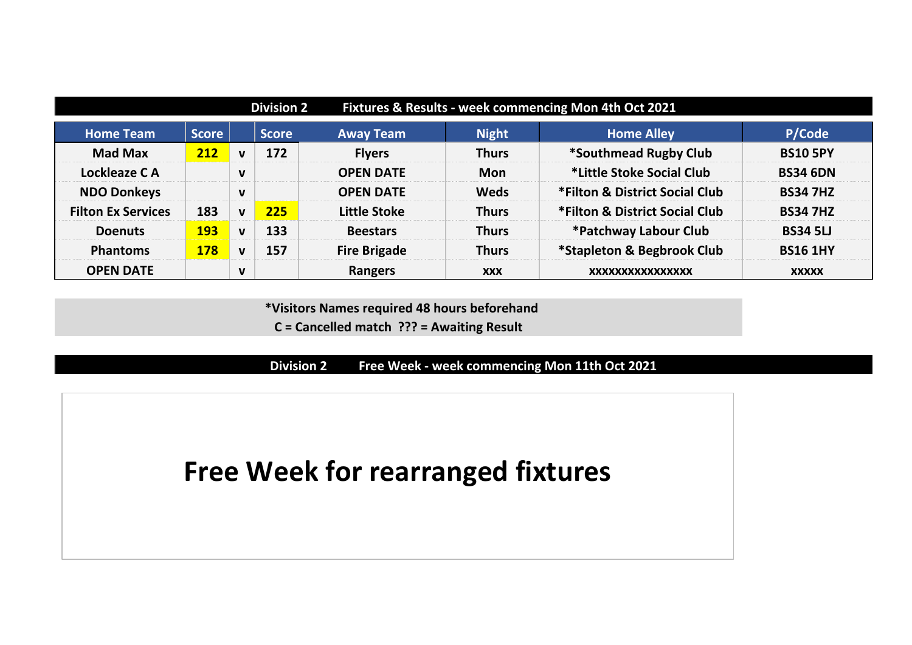| <b>Division 2</b><br>Fixtures & Results - week commencing Mon 4th Oct 2021 |              |              |              |                     |              |                                |                 |  |  |
|----------------------------------------------------------------------------|--------------|--------------|--------------|---------------------|--------------|--------------------------------|-----------------|--|--|
| <b>Home Team</b>                                                           | <b>Score</b> |              | <b>Score</b> | <b>Away Team</b>    | <b>Night</b> | <b>Home Alley</b>              | P/Code          |  |  |
| <b>Mad Max</b>                                                             | 212          | $\mathbf{V}$ | 172          | <b>Flyers</b>       | <b>Thurs</b> | *Southmead Rugby Club          | <b>BS10 5PY</b> |  |  |
| Lockleaze CA                                                               |              | $\mathbf v$  |              | <b>OPEN DATE</b>    | <b>Mon</b>   | *Little Stoke Social Club      | <b>BS34 6DN</b> |  |  |
| <b>NDO Donkeys</b>                                                         |              | $\mathbf{v}$ |              | <b>OPEN DATE</b>    | <b>Weds</b>  | *Filton & District Social Club | <b>BS34 7HZ</b> |  |  |
| <b>Filton Ex Services</b>                                                  | 183          | $\mathbf{v}$ | 225          | <b>Little Stoke</b> | <b>Thurs</b> | *Filton & District Social Club | <b>BS34 7HZ</b> |  |  |
| <b>Doenuts</b>                                                             | <b>193</b>   | $\mathbf{v}$ | 133          | <b>Beestars</b>     | <b>Thurs</b> | *Patchway Labour Club          | <b>BS34 5LJ</b> |  |  |
| <b>Phantoms</b>                                                            | <b>178</b>   | $\mathbf{v}$ | 157          | <b>Fire Brigade</b> | <b>Thurs</b> | *Stapleton & Begbrook Club     | <b>BS16 1HY</b> |  |  |
| <b>OPEN DATE</b>                                                           |              | $\mathbf v$  |              | <b>Rangers</b>      | <b>XXX</b>   | XXXXXXXXXXXXXXXX               | <b>XXXXX</b>    |  |  |

**C = Cancelled match ??? = Awaiting Result**

**Division 2 Free Week - week commencing Mon 11th Oct 2021**

# **Free Week for rearranged fixtures**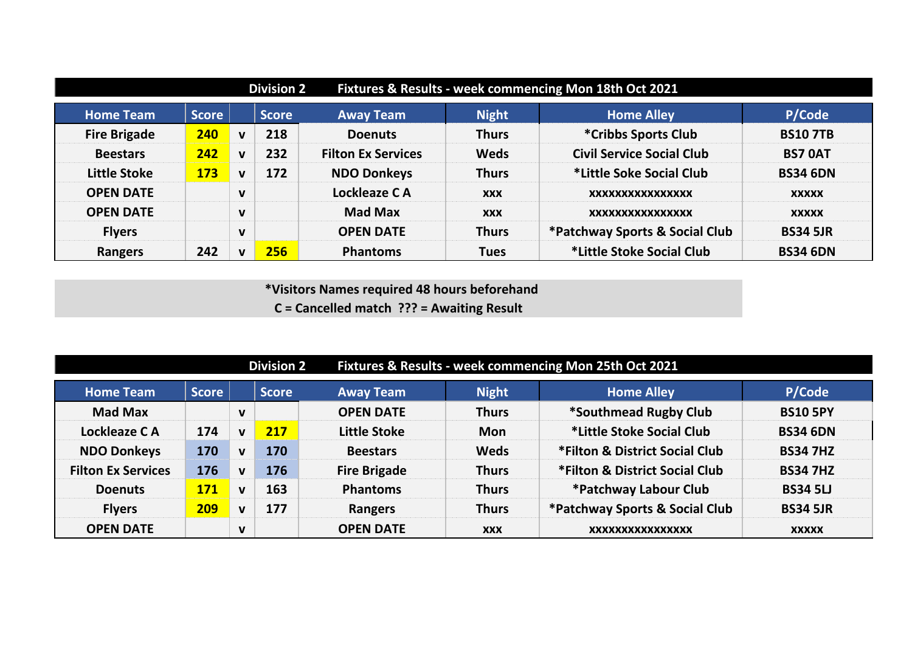| Fixtures & Results - week commencing Mon 18th Oct 2021<br><b>Division 2</b> |              |              |              |                           |              |                                  |                 |  |  |  |  |
|-----------------------------------------------------------------------------|--------------|--------------|--------------|---------------------------|--------------|----------------------------------|-----------------|--|--|--|--|
| <b>Home Team</b>                                                            | <b>Score</b> |              | <b>Score</b> | <b>Away Team</b>          | <b>Night</b> | <b>Home Alley</b>                | P/Code          |  |  |  |  |
| <b>Fire Brigade</b>                                                         | 240          | $\mathbf v$  | 218          | <b>Doenuts</b>            | <b>Thurs</b> | *Cribbs Sports Club              | <b>BS107TB</b>  |  |  |  |  |
| <b>Beestars</b>                                                             | 242          | $\mathbf v$  | 232          | <b>Filton Ex Services</b> | <b>Weds</b>  | <b>Civil Service Social Club</b> | <b>BS7 OAT</b>  |  |  |  |  |
| <b>Little Stoke</b>                                                         | <b>173</b>   | $\mathbf v$  | 172          | <b>NDO Donkeys</b>        | <b>Thurs</b> | *Little Soke Social Club         | <b>BS34 6DN</b> |  |  |  |  |
| <b>OPEN DATE</b>                                                            |              | $\mathbf v$  |              | Lockleaze CA              | <b>XXX</b>   | XXXXXXXXXXXXXXXX                 | <b>XXXXX</b>    |  |  |  |  |
| <b>OPEN DATE</b>                                                            |              | $\mathbf v$  |              | <b>Mad Max</b>            | <b>XXX</b>   | XXXXXXXXXXXXXXXX                 | <b>XXXXX</b>    |  |  |  |  |
| <b>Flyers</b>                                                               |              | $\mathbf{V}$ |              | <b>OPEN DATE</b>          | <b>Thurs</b> | *Patchway Sports & Social Club   | <b>BS34 5JR</b> |  |  |  |  |
| <b>Rangers</b>                                                              | 242          | $\mathbf{v}$ | 256          | <b>Phantoms</b>           | <b>Tues</b>  | *Little Stoke Social Club        | <b>BS34 6DN</b> |  |  |  |  |

**C = Cancelled match ??? = Awaiting Result**

|                           |              |              | <b>Division 2</b> |                     | Fixtures & Results - week commencing Mon 25th Oct 2021 |                                |                 |  |
|---------------------------|--------------|--------------|-------------------|---------------------|--------------------------------------------------------|--------------------------------|-----------------|--|
| <b>Home Team</b>          | <b>Score</b> |              | <b>Score</b>      | <b>Away Team</b>    | <b>Night</b>                                           | <b>Home Alley</b>              | P/Code          |  |
| <b>Mad Max</b>            |              | $\mathbf v$  |                   | <b>OPEN DATE</b>    | <b>Thurs</b>                                           | *Southmead Rugby Club          | <b>BS10 5PY</b> |  |
| Lockleaze CA              | 174          | $\mathbf{v}$ | 217               | Little Stoke        | <b>Mon</b>                                             | *Little Stoke Social Club      | <b>BS34 6DN</b> |  |
| <b>NDO Donkeys</b>        | 170          | $\mathbf{v}$ | 170               | <b>Beestars</b>     | <b>Weds</b>                                            | *Filton & District Social Club | <b>BS34 7HZ</b> |  |
| <b>Filton Ex Services</b> | 176          | $\mathbf{v}$ | 176               | <b>Fire Brigade</b> | <b>Thurs</b>                                           | *Filton & District Social Club | <b>BS34 7HZ</b> |  |
| <b>Doenuts</b>            | <b>171</b>   | $\mathbf{V}$ | 163               | <b>Phantoms</b>     | <b>Thurs</b>                                           | *Patchway Labour Club          | <b>BS34 5LJ</b> |  |
| <b>Flyers</b>             | 209          | $\mathbf{v}$ | 177               | <b>Rangers</b>      | <b>Thurs</b>                                           | *Patchway Sports & Social Club | <b>BS34 5JR</b> |  |
| <b>OPEN DATE</b>          |              | $\mathbf v$  |                   | <b>OPEN DATE</b>    | <b>XXX</b>                                             | XXXXXXXXXXXXXXXX               | <b>XXXXX</b>    |  |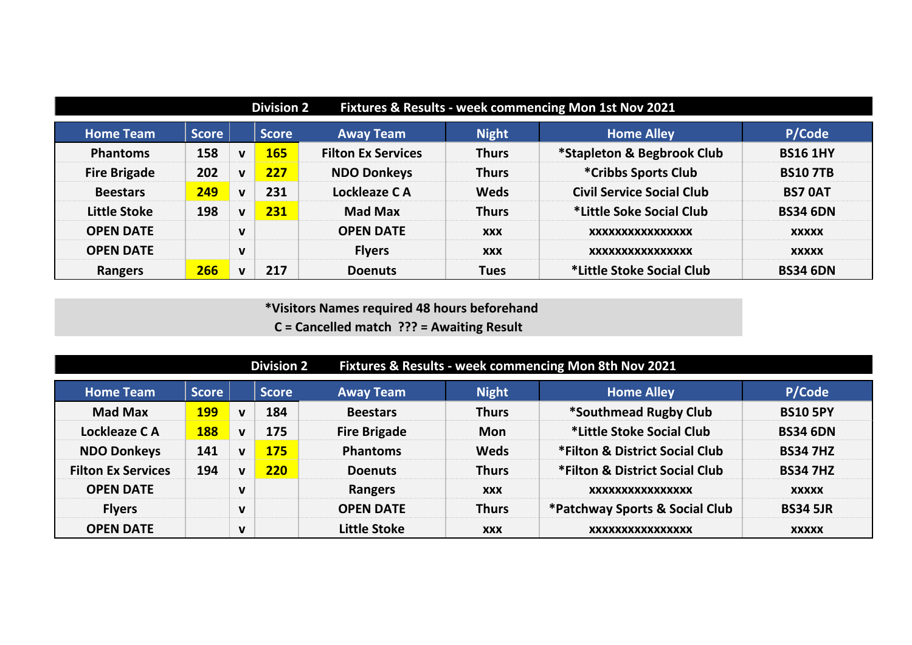| Fixtures & Results - week commencing Mon 1st Nov 2021<br><b>Division 2</b> |              |              |              |                           |              |                                  |                 |  |  |  |  |
|----------------------------------------------------------------------------|--------------|--------------|--------------|---------------------------|--------------|----------------------------------|-----------------|--|--|--|--|
| <b>Home Team</b>                                                           | <b>Score</b> |              | <b>Score</b> | <b>Away Team</b>          | <b>Night</b> | <b>Home Alley</b>                | P/Code          |  |  |  |  |
| <b>Phantoms</b>                                                            | 158          | $\mathbf v$  | 165          | <b>Filton Ex Services</b> | <b>Thurs</b> | *Stapleton & Begbrook Club       | <b>BS16 1HY</b> |  |  |  |  |
| <b>Fire Brigade</b>                                                        | 202          | $\mathbf{v}$ | 227          | <b>NDO Donkeys</b>        | <b>Thurs</b> | *Cribbs Sports Club              | <b>BS107TB</b>  |  |  |  |  |
| <b>Beestars</b>                                                            | 249          | $\mathbf v$  | 231          | Lockleaze CA              | <b>Weds</b>  | <b>Civil Service Social Club</b> | <b>BS7 OAT</b>  |  |  |  |  |
| <b>Little Stoke</b>                                                        | 198          | $\mathbf{v}$ | 231          | <b>Mad Max</b>            | <b>Thurs</b> | *Little Soke Social Club         | <b>BS34 6DN</b> |  |  |  |  |
| <b>OPEN DATE</b>                                                           |              | $\mathbf v$  |              | <b>OPEN DATE</b>          | <b>XXX</b>   | XXXXXXXXXXXXXXXX                 | <b>XXXXX</b>    |  |  |  |  |
| <b>OPEN DATE</b>                                                           |              | $\mathbf v$  |              | <b>Flyers</b>             | <b>XXX</b>   | XXXXXXXXXXXXXXXX                 | <b>XXXXX</b>    |  |  |  |  |
| Rangers                                                                    | 266          | $\mathbf{v}$ | 217          | <b>Doenuts</b>            | <b>Tues</b>  | *Little Stoke Social Club        | <b>BS34 6DN</b> |  |  |  |  |

 **\*Visitors Names required 48 hours beforehand C = Cancelled match ??? = Awaiting Result**

**Division 2 Fixtures & Results - week commencing Mon 8th Nov 2021 Home Team Score Score Away Team Night Home Alley P/Code Mad Max 199 v 184 Beestars Thurs \*Southmead Rugby Club BS10 5PY Lockleaze C A 188 v 175 Fire Brigade Mon \*Little Stoke Social Club BS34 6DN NDO Donkeys 141 v 175 Phantoms Weds \*Filton & District Social Club BS34 7HZ Filton Ex Services 194 v 220 Doenuts Thurs \*Filton & District Social Club BS34 7HZ OPEN DATE**  $\vert$  **v**  $\vert$  **Rangers**  $\vert$  **xxx**  $\vert$  **xxxxxxxxxxxxxxxxx**  $\vert$  xxxxx **Flyers v OPEN DATE Thurs \*Patchway Sports & Social Club BS34 5JR OPEN DATE v Little Stoke xxx xxxxxxxxxxxxxxxx xxxxx**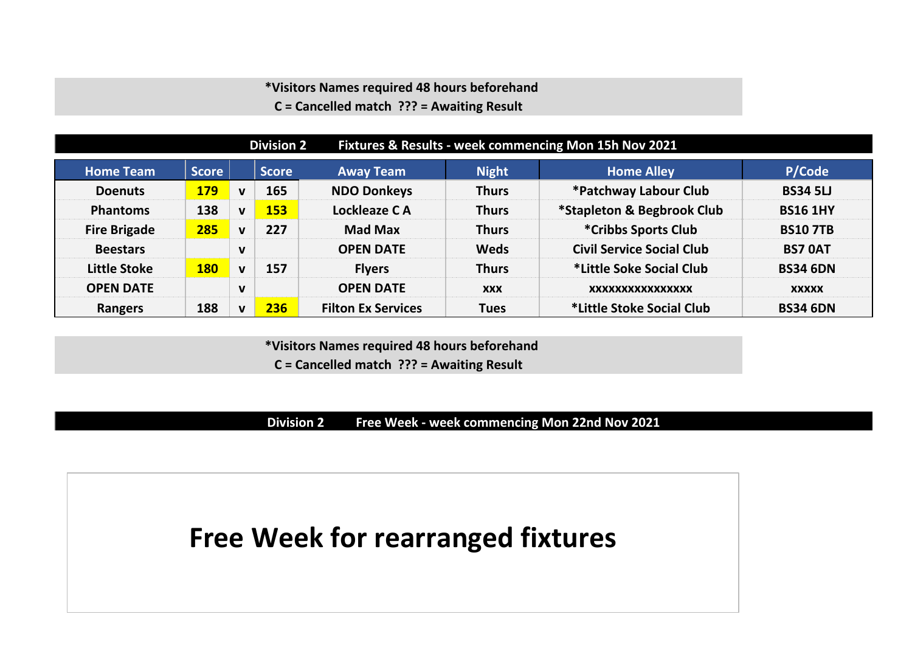**C = Cancelled match ??? = Awaiting Result**

| Fixtures & Results - week commencing Mon 15h Nov 2021<br><b>Division 2</b> |              |              |              |                           |              |                                  |                 |  |  |  |  |
|----------------------------------------------------------------------------|--------------|--------------|--------------|---------------------------|--------------|----------------------------------|-----------------|--|--|--|--|
| <b>Home Team</b>                                                           | <b>Score</b> |              | <b>Score</b> | <b>Away Team</b>          | <b>Night</b> | <b>Home Alley</b>                | P/Code          |  |  |  |  |
| <b>Doenuts</b>                                                             | <b>179</b>   | $\mathbf v$  | 165          | <b>NDO Donkeys</b>        | <b>Thurs</b> | *Patchway Labour Club            | <b>BS34 5LJ</b> |  |  |  |  |
| <b>Phantoms</b>                                                            | 138          | $\mathbf{v}$ | 153          | Lockleaze CA              | <b>Thurs</b> | *Stapleton & Begbrook Club       | <b>BS16 1HY</b> |  |  |  |  |
| <b>Fire Brigade</b>                                                        | 285          | $\mathbf v$  | 227          | <b>Mad Max</b>            | <b>Thurs</b> | *Cribbs Sports Club              | <b>BS10 7TB</b> |  |  |  |  |
| <b>Beestars</b>                                                            |              | $\mathbf{v}$ |              | <b>OPEN DATE</b>          | <b>Weds</b>  | <b>Civil Service Social Club</b> | <b>BS7 OAT</b>  |  |  |  |  |
| <b>Little Stoke</b>                                                        | <b>180</b>   | $\mathbf{v}$ | 157          | <b>Flyers</b>             | <b>Thurs</b> | *Little Soke Social Club         | <b>BS34 6DN</b> |  |  |  |  |
| <b>OPEN DATE</b>                                                           |              | $\mathbf v$  |              | <b>OPEN DATE</b>          | <b>XXX</b>   | XXXXXXXXXXXXXXXX                 | <b>XXXXX</b>    |  |  |  |  |
| <b>Rangers</b>                                                             | 188          | $\mathbf{v}$ | 236          | <b>Filton Ex Services</b> | <b>Tues</b>  | *Little Stoke Social Club        | <b>BS34 6DN</b> |  |  |  |  |

 **\*Visitors Names required 48 hours beforehand C = Cancelled match ??? = Awaiting Result**

**Division 2 Free Week - week commencing Mon 22nd Nov 2021**

**Free Week for rearranged fixtures**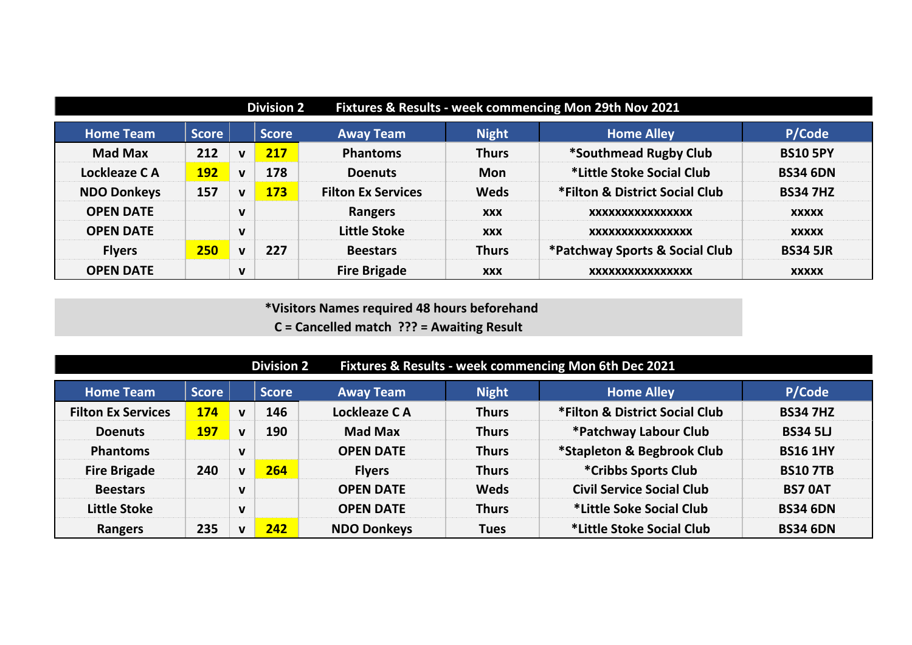|                    | Fixtures & Results - week commencing Mon 29th Nov 2021<br><b>Division 2</b> |              |              |                           |              |                                |                 |  |  |  |  |  |
|--------------------|-----------------------------------------------------------------------------|--------------|--------------|---------------------------|--------------|--------------------------------|-----------------|--|--|--|--|--|
| <b>Home Team</b>   | <b>Score</b>                                                                |              | <b>Score</b> | <b>Away Team</b>          | <b>Night</b> | <b>Home Alley</b>              | P/Code          |  |  |  |  |  |
| <b>Mad Max</b>     | 212                                                                         | $\mathbf{v}$ | 217          | <b>Phantoms</b>           | <b>Thurs</b> | *Southmead Rugby Club          | <b>BS10 5PY</b> |  |  |  |  |  |
| Lockleaze CA       | <b>192</b>                                                                  | $\mathbf v$  | 178          | <b>Doenuts</b>            | <b>Mon</b>   | *Little Stoke Social Club      | <b>BS34 6DN</b> |  |  |  |  |  |
| <b>NDO Donkeys</b> | 157                                                                         | $\mathbf{v}$ | <b>173</b>   | <b>Filton Ex Services</b> | <b>Weds</b>  | *Filton & District Social Club | <b>BS34 7HZ</b> |  |  |  |  |  |
| <b>OPEN DATE</b>   |                                                                             | $\mathbf v$  |              | Rangers                   | <b>XXX</b>   | XXXXXXXXXXXXXXXX               | <b>XXXXX</b>    |  |  |  |  |  |
| <b>OPEN DATE</b>   |                                                                             | $\mathbf v$  |              | <b>Little Stoke</b>       | <b>XXX</b>   | XXXXXXXXXXXXXXXX               | <b>XXXXX</b>    |  |  |  |  |  |
| <b>Flyers</b>      | 250                                                                         | $\mathbf v$  | 227          | <b>Beestars</b>           | <b>Thurs</b> | *Patchway Sports & Social Club | <b>BS34 5JR</b> |  |  |  |  |  |
| <b>OPEN DATE</b>   |                                                                             | $\mathbf v$  |              | <b>Fire Brigade</b>       | <b>XXX</b>   | XXXXXXXXXXXXXXXX               | <b>XXXXX</b>    |  |  |  |  |  |

**C = Cancelled match ??? = Awaiting Result**

| Fixtures & Results - week commencing Mon 6th Dec 2021<br><b>Division 2</b> |              |              |              |                    |              |                                  |                 |  |  |  |  |
|----------------------------------------------------------------------------|--------------|--------------|--------------|--------------------|--------------|----------------------------------|-----------------|--|--|--|--|
| <b>Home Team</b>                                                           | <b>Score</b> |              | <b>Score</b> | <b>Away Team</b>   | <b>Night</b> | <b>Home Alley</b>                | P/Code          |  |  |  |  |
| <b>Filton Ex Services</b>                                                  | <b>174</b>   | $\mathbf{v}$ | 146          | Lockleaze CA       | <b>Thurs</b> | *Filton & District Social Club   | <b>BS34 7HZ</b> |  |  |  |  |
| <b>Doenuts</b>                                                             | <b>197</b>   | $\mathbf{v}$ | 190          | <b>Mad Max</b>     | <b>Thurs</b> | *Patchway Labour Club            | <b>BS34 5LJ</b> |  |  |  |  |
| <b>Phantoms</b>                                                            |              | $\mathbf{v}$ |              | <b>OPEN DATE</b>   | <b>Thurs</b> | *Stapleton & Begbrook Club       | <b>BS16 1HY</b> |  |  |  |  |
| <b>Fire Brigade</b>                                                        | 240          | $\mathbf{v}$ | 264          | <b>Flyers</b>      | <b>Thurs</b> | *Cribbs Sports Club              | <b>BS107TB</b>  |  |  |  |  |
| <b>Beestars</b>                                                            |              | $\mathbf v$  |              | <b>OPEN DATE</b>   | <b>Weds</b>  | <b>Civil Service Social Club</b> | <b>BS7 OAT</b>  |  |  |  |  |
| <b>Little Stoke</b>                                                        |              | $\mathbf{v}$ |              | <b>OPEN DATE</b>   | <b>Thurs</b> | *Little Soke Social Club         | <b>BS34 6DN</b> |  |  |  |  |
| <b>Rangers</b>                                                             | 235          | v            | 242          | <b>NDO Donkeys</b> | <b>Tues</b>  | *Little Stoke Social Club        | <b>BS34 6DN</b> |  |  |  |  |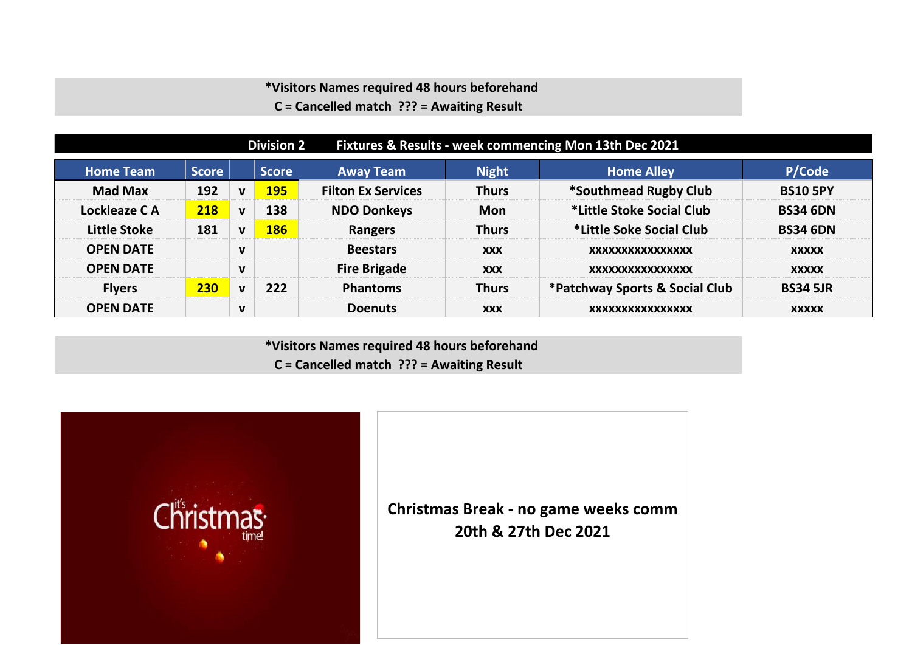**C = Cancelled match ??? = Awaiting Result**

| Fixtures & Results - week commencing Mon 13th Dec 2021<br><b>Division 2</b> |              |              |              |                           |              |                                |                 |  |  |  |  |
|-----------------------------------------------------------------------------|--------------|--------------|--------------|---------------------------|--------------|--------------------------------|-----------------|--|--|--|--|
| <b>Home Team</b>                                                            | <b>Score</b> |              | <b>Score</b> | <b>Away Team</b>          | <b>Night</b> | <b>Home Alley</b>              | P/Code          |  |  |  |  |
| <b>Mad Max</b>                                                              | 192          | $\mathbf v$  | 195          | <b>Filton Ex Services</b> | <b>Thurs</b> | *Southmead Rugby Club          | <b>BS10 5PY</b> |  |  |  |  |
| Lockleaze CA                                                                | 218          | $\mathbf{V}$ | 138          | <b>NDO Donkeys</b>        | <b>Mon</b>   | *Little Stoke Social Club      | <b>BS34 6DN</b> |  |  |  |  |
| <b>Little Stoke</b>                                                         | 181          | $\mathbf v$  | 186          | Rangers                   | <b>Thurs</b> | *Little Soke Social Club       | <b>BS34 6DN</b> |  |  |  |  |
| <b>OPEN DATE</b>                                                            |              | $\mathbf v$  |              | <b>Beestars</b>           | <b>XXX</b>   | XXXXXXXXXXXXXXXX               | <b>XXXXX</b>    |  |  |  |  |
| <b>OPEN DATE</b>                                                            |              | $\mathbf v$  |              | <b>Fire Brigade</b>       | <b>XXX</b>   | XXXXXXXXXXXXXXXX               | <b>XXXXX</b>    |  |  |  |  |
| <b>Flyers</b>                                                               | 230          | $\mathbf v$  | 222          | <b>Phantoms</b>           | <b>Thurs</b> | *Patchway Sports & Social Club | <b>BS34 5JR</b> |  |  |  |  |
| <b>OPEN DATE</b>                                                            |              | v            |              | <b>Doenuts</b>            | <b>XXX</b>   | XXXXXXXXXXXXXXXX               | <b>XXXXX</b>    |  |  |  |  |

 **\*Visitors Names required 48 hours beforehand C = Cancelled match ??? = Awaiting Result**

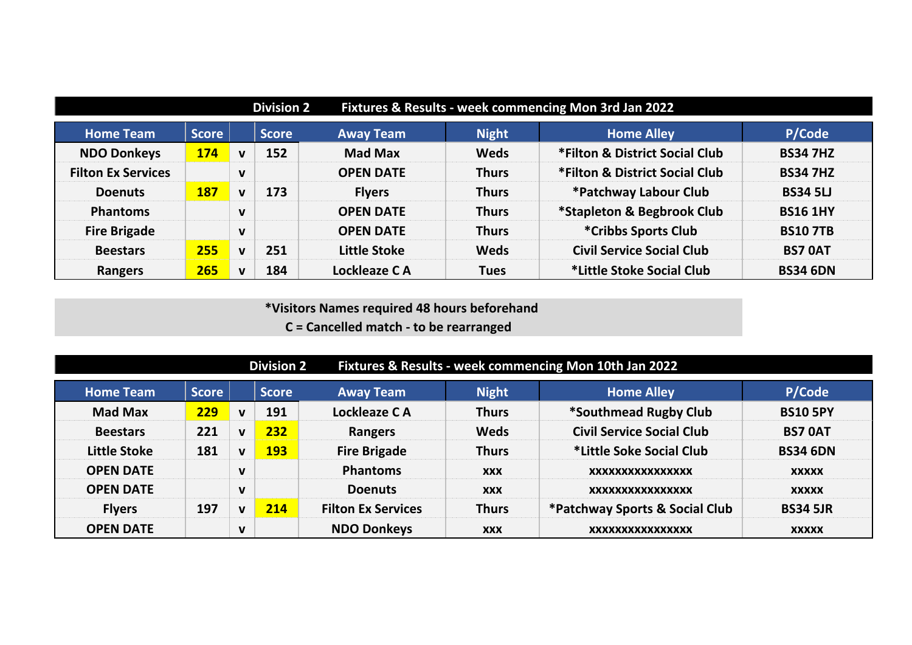| Fixtures & Results - week commencing Mon 3rd Jan 2022<br><b>Division 2</b> |              |              |              |                     |              |                                  |                 |  |  |
|----------------------------------------------------------------------------|--------------|--------------|--------------|---------------------|--------------|----------------------------------|-----------------|--|--|
| <b>Home Team</b>                                                           | <b>Score</b> |              | <b>Score</b> | <b>Away Team</b>    | <b>Night</b> | <b>Home Alley</b>                | P/Code          |  |  |
| <b>NDO Donkeys</b>                                                         | 174          | $\mathbf v$  | 152          | <b>Mad Max</b>      | <b>Weds</b>  | *Filton & District Social Club   | <b>BS34 7HZ</b> |  |  |
| <b>Filton Ex Services</b>                                                  |              | $\mathbf v$  |              | <b>OPEN DATE</b>    | <b>Thurs</b> | *Filton & District Social Club   | <b>BS34 7HZ</b> |  |  |
| <b>Doenuts</b>                                                             | <b>187</b>   | $\mathbf{v}$ | 173          | <b>Flyers</b>       | <b>Thurs</b> | *Patchway Labour Club            | <b>BS34 5LJ</b> |  |  |
| <b>Phantoms</b>                                                            |              | $\mathbf v$  |              | <b>OPEN DATE</b>    | <b>Thurs</b> | *Stapleton & Begbrook Club       | <b>BS16 1HY</b> |  |  |
| <b>Fire Brigade</b>                                                        |              | $\mathbf{V}$ |              | <b>OPEN DATE</b>    | <b>Thurs</b> | *Cribbs Sports Club              | <b>BS107TB</b>  |  |  |
| <b>Beestars</b>                                                            | 255          | $\mathbf v$  | 251          | <b>Little Stoke</b> | <b>Weds</b>  | <b>Civil Service Social Club</b> | <b>BS7 OAT</b>  |  |  |
| <b>Rangers</b>                                                             | 265          | $\mathbf{v}$ | 184          | Lockleaze CA        | <b>Tues</b>  | *Little Stoke Social Club        | <b>BS34 6DN</b> |  |  |

|                  | Fixtures & Results - week commencing Mon 10th Jan 2022<br><b>Division 2</b> |              |              |                           |              |                                  |                 |  |  |  |  |  |
|------------------|-----------------------------------------------------------------------------|--------------|--------------|---------------------------|--------------|----------------------------------|-----------------|--|--|--|--|--|
| <b>Home Team</b> | <b>Score</b>                                                                |              | <b>Score</b> | <b>Away Team</b>          | <b>Night</b> | <b>Home Alley</b>                | P/Code          |  |  |  |  |  |
| <b>Mad Max</b>   | 229                                                                         | $\mathbf{v}$ | 191          | Lockleaze CA              | <b>Thurs</b> | *Southmead Rugby Club            | <b>BS10 5PY</b> |  |  |  |  |  |
| <b>Beestars</b>  | 221                                                                         | $\mathbf{v}$ | 232          | <b>Rangers</b>            | <b>Weds</b>  | <b>Civil Service Social Club</b> | <b>BS7 OAT</b>  |  |  |  |  |  |
| Little Stoke     | 181                                                                         | $\mathbf{v}$ | 193          | <b>Fire Brigade</b>       | <b>Thurs</b> | *Little Soke Social Club         | <b>BS34 6DN</b> |  |  |  |  |  |
| <b>OPEN DATE</b> |                                                                             | $\mathbf v$  |              | <b>Phantoms</b>           | <b>XXX</b>   | XXXXXXXXXXXXXXXX                 | <b>XXXXX</b>    |  |  |  |  |  |
| <b>OPEN DATE</b> |                                                                             | $\mathbf v$  |              | <b>Doenuts</b>            | <b>XXX</b>   | XXXXXXXXXXXXXXXX                 | <b>XXXXX</b>    |  |  |  |  |  |
| <b>Flyers</b>    | 197                                                                         | v            | 214          | <b>Filton Ex Services</b> | <b>Thurs</b> | *Patchway Sports & Social Club   | <b>BS34 5JR</b> |  |  |  |  |  |
| <b>OPEN DATE</b> |                                                                             | V            |              | <b>NDO Donkeys</b>        | <b>XXX</b>   | XXXXXXXXXXXXXXXX                 | <b>XXXXX</b>    |  |  |  |  |  |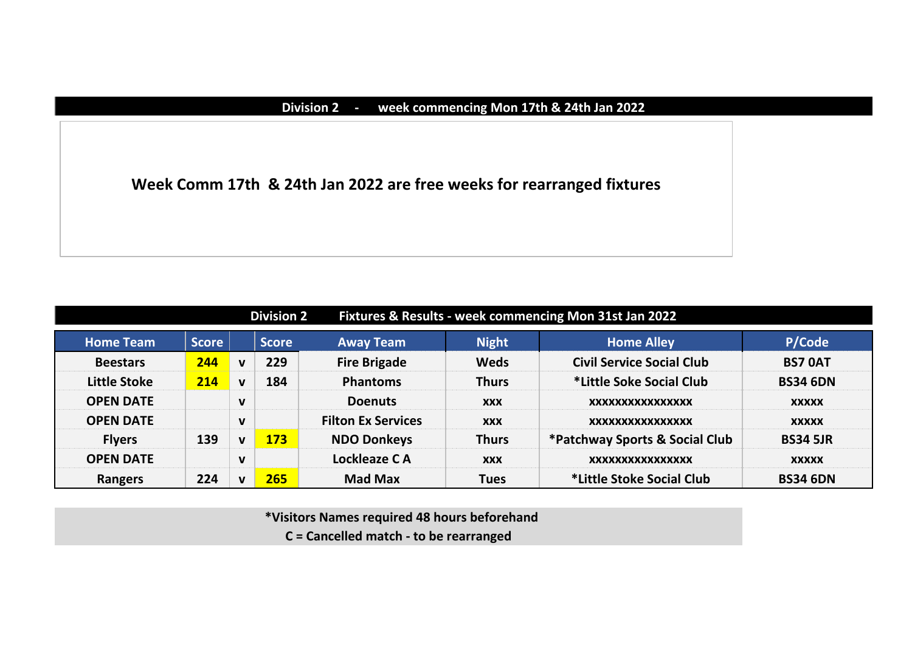### **Division 2 - week commencing Mon 17th & 24th Jan 2022**

**Week Comm 17th & 24th Jan 2022 are free weeks for rearranged fixtures**

|                     |              |              | <b>Division 2</b> |                           | Fixtures & Results - week commencing Mon 31st Jan 2022 |                                  |                 |  |
|---------------------|--------------|--------------|-------------------|---------------------------|--------------------------------------------------------|----------------------------------|-----------------|--|
| <b>Home Team</b>    | <b>Score</b> |              | <b>Score</b>      | <b>Away Team</b>          | <b>Night</b>                                           | <b>Home Alley</b>                | P/Code          |  |
| <b>Beestars</b>     | 244          | $\mathbf v$  | 229               | <b>Fire Brigade</b>       | <b>Weds</b>                                            | <b>Civil Service Social Club</b> | <b>BS7 OAT</b>  |  |
| <b>Little Stoke</b> | 214          | $\mathbf v$  | 184               | <b>Phantoms</b>           | <b>Thurs</b>                                           | *Little Soke Social Club         | <b>BS34 6DN</b> |  |
| <b>OPEN DATE</b>    |              | $\mathbf v$  |                   | <b>Doenuts</b>            | <b>XXX</b>                                             | XXXXXXXXXXXXXXXX                 | <b>XXXXX</b>    |  |
| <b>OPEN DATE</b>    |              | $\mathbf{V}$ |                   | <b>Filton Ex Services</b> | <b>XXX</b>                                             | XXXXXXXXXXXXXXXX                 | <b>XXXXX</b>    |  |
| <b>Flyers</b>       | 139          | $\mathbf v$  | 173               | <b>NDO Donkeys</b>        | <b>Thurs</b>                                           | *Patchway Sports & Social Club   | <b>BS34 5JR</b> |  |
| <b>OPEN DATE</b>    |              | $\mathbf v$  |                   | Lockleaze CA              | <b>XXX</b>                                             | XXXXXXXXXXXXXXXX                 | <b>XXXXX</b>    |  |
| Rangers             | 224          | v            | 265               | <b>Mad Max</b>            | <b>Tues</b>                                            | *Little Stoke Social Club        | <b>BS34 6DN</b> |  |

 **\*Visitors Names required 48 hours beforehand C = Cancelled match - to be rearranged**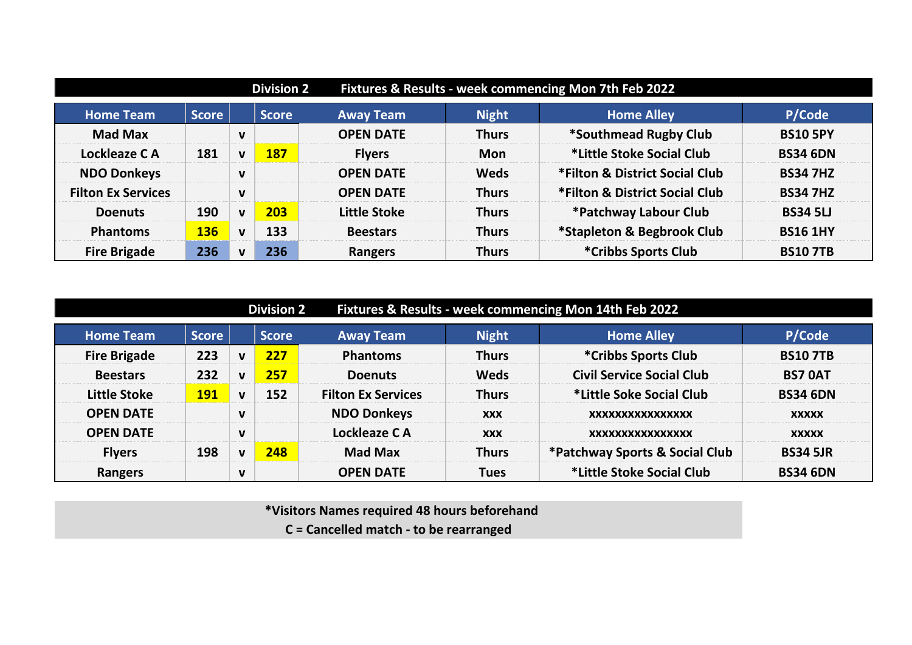|                           |              |              | <b>Division 2</b> | Fixtures & Results - week commencing Mon 7th Feb 2022 |              |                                |                 |
|---------------------------|--------------|--------------|-------------------|-------------------------------------------------------|--------------|--------------------------------|-----------------|
| <b>Home Team</b>          | <b>Score</b> |              | <b>Score</b>      | <b>Away Team</b>                                      | <b>Night</b> | <b>Home Alley</b>              | P/Code          |
| <b>Mad Max</b>            |              | $\mathbf v$  |                   | <b>OPEN DATE</b>                                      | <b>Thurs</b> | *Southmead Rugby Club          | <b>BS10 5PY</b> |
| Lockleaze CA              | 181          | $\mathbf v$  | 187               | <b>Flyers</b>                                         | <b>Mon</b>   | *Little Stoke Social Club      | <b>BS34 6DN</b> |
| <b>NDO Donkeys</b>        |              | $\mathbf v$  |                   | <b>OPEN DATE</b>                                      | <b>Weds</b>  | *Filton & District Social Club | <b>BS34 7HZ</b> |
| <b>Filton Ex Services</b> |              | $\mathbf{V}$ |                   | <b>OPEN DATE</b>                                      | <b>Thurs</b> | *Filton & District Social Club | <b>BS34 7HZ</b> |
| <b>Doenuts</b>            | 190          | $\mathbf{v}$ | 203               | Little Stoke                                          | <b>Thurs</b> | *Patchway Labour Club          | <b>BS34 5LJ</b> |
| <b>Phantoms</b>           | <b>136</b>   | $\mathbf{V}$ | 133               | <b>Beestars</b>                                       | <b>Thurs</b> | *Stapleton & Begbrook Club     | <b>BS16 1HY</b> |
| <b>Fire Brigade</b>       | 236          | v            | 236               | Rangers                                               | <b>Thurs</b> | *Cribbs Sports Club            | <b>BS107TB</b>  |

| Fixtures & Results - week commencing Mon 14th Feb 2022<br><b>Division 2</b> |              |              |              |                           |              |                                  |                 |  |  |  |  |
|-----------------------------------------------------------------------------|--------------|--------------|--------------|---------------------------|--------------|----------------------------------|-----------------|--|--|--|--|
| <b>Home Team</b>                                                            | <b>Score</b> |              | <b>Score</b> | <b>Away Team</b>          | <b>Night</b> | <b>Home Alley</b>                | P/Code          |  |  |  |  |
| <b>Fire Brigade</b>                                                         | 223          | $\mathbf v$  | 227          | <b>Phantoms</b>           | <b>Thurs</b> | *Cribbs Sports Club              | <b>BS107TB</b>  |  |  |  |  |
| <b>Beestars</b>                                                             | 232          | $\mathbf v$  | 257          | <b>Doenuts</b>            | <b>Weds</b>  | <b>Civil Service Social Club</b> | <b>BS7 OAT</b>  |  |  |  |  |
| <b>Little Stoke</b>                                                         | <b>191</b>   | $\mathbf v$  | 152          | <b>Filton Ex Services</b> | <b>Thurs</b> | *Little Soke Social Club         | <b>BS34 6DN</b> |  |  |  |  |
| <b>OPEN DATE</b>                                                            |              | $\mathbf v$  |              | <b>NDO Donkeys</b>        | <b>XXX</b>   | XXXXXXXXXXXXXXXX                 | <b>XXXXX</b>    |  |  |  |  |
| <b>OPEN DATE</b>                                                            |              | $\mathbf{v}$ |              | Lockleaze CA              | <b>XXX</b>   | XXXXXXXXXXXXXXXX                 | <b>XXXXX</b>    |  |  |  |  |
| <b>Flyers</b>                                                               | 198          | $\mathbf{v}$ | 248          | <b>Mad Max</b>            | <b>Thurs</b> | *Patchway Sports & Social Club   | <b>BS34 5JR</b> |  |  |  |  |
| <b>Rangers</b>                                                              |              | $\mathbf v$  |              | <b>OPEN DATE</b>          | <b>Tues</b>  | *Little Stoke Social Club        | <b>BS34 6DN</b> |  |  |  |  |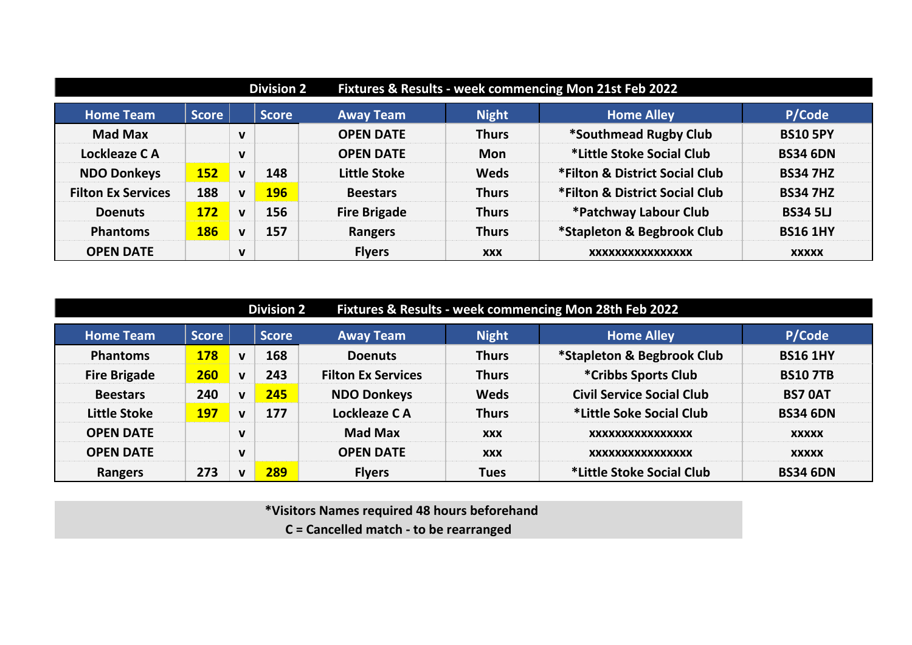|                           |              |              | <b>Division 2</b> |                     | Fixtures & Results - week commencing Mon 21st Feb 2022 |                                |                 |  |
|---------------------------|--------------|--------------|-------------------|---------------------|--------------------------------------------------------|--------------------------------|-----------------|--|
| <b>Home Team</b>          | <b>Score</b> |              | <b>Score</b>      | <b>Away Team</b>    | <b>Night</b>                                           | <b>Home Alley</b>              | P/Code          |  |
| <b>Mad Max</b>            |              | $\mathbf v$  |                   | <b>OPEN DATE</b>    | <b>Thurs</b>                                           | *Southmead Rugby Club          | <b>BS10 5PY</b> |  |
| Lockleaze CA              |              | $\mathbf v$  |                   | <b>OPEN DATE</b>    | <b>Mon</b>                                             | *Little Stoke Social Club      | <b>BS34 6DN</b> |  |
| <b>NDO Donkeys</b>        | <b>152</b>   | $\mathbf v$  | 148               | Little Stoke        | <b>Weds</b>                                            | *Filton & District Social Club | <b>BS34 7HZ</b> |  |
| <b>Filton Ex Services</b> | 188          | $\mathbf v$  | <b>196</b>        | <b>Beestars</b>     | <b>Thurs</b>                                           | *Filton & District Social Club | <b>BS34 7HZ</b> |  |
| <b>Doenuts</b>            | <b>172</b>   | $\mathbf{v}$ | 156               | <b>Fire Brigade</b> | <b>Thurs</b>                                           | *Patchway Labour Club          | <b>BS34 5LJ</b> |  |
| <b>Phantoms</b>           | <b>186</b>   | $\mathbf{V}$ | 157               | <b>Rangers</b>      | <b>Thurs</b>                                           | *Stapleton & Begbrook Club     | <b>BS16 1HY</b> |  |
| <b>OPEN DATE</b>          |              | $\mathbf v$  |                   | <b>Flyers</b>       | <b>XXX</b>                                             | XXXXXXXXXXXXXXXX               | <b>XXXXX</b>    |  |

| Fixtures & Results - week commencing Mon 28th Feb 2022<br><b>Division 2</b> |              |              |              |                           |              |                                  |                 |  |  |  |  |
|-----------------------------------------------------------------------------|--------------|--------------|--------------|---------------------------|--------------|----------------------------------|-----------------|--|--|--|--|
| <b>Home Team</b>                                                            | <b>Score</b> |              | <b>Score</b> | <b>Away Team</b>          | <b>Night</b> | <b>Home Alley</b>                | P/Code          |  |  |  |  |
| <b>Phantoms</b>                                                             | <b>178</b>   | $\mathbf v$  | 168          | <b>Doenuts</b>            | <b>Thurs</b> | *Stapleton & Begbrook Club       | <b>BS16 1HY</b> |  |  |  |  |
| <b>Fire Brigade</b>                                                         | 260          | $\mathbf v$  | 243          | <b>Filton Ex Services</b> | <b>Thurs</b> | *Cribbs Sports Club              | <b>BS10 7TB</b> |  |  |  |  |
| <b>Beestars</b>                                                             | 240          | $\mathbf{v}$ | 245          | <b>NDO Donkeys</b>        | <b>Weds</b>  | <b>Civil Service Social Club</b> | <b>BS7 OAT</b>  |  |  |  |  |
| <b>Little Stoke</b>                                                         | <b>197</b>   | $\mathbf v$  | 177          | Lockleaze CA              | <b>Thurs</b> | *Little Soke Social Club         | <b>BS34 6DN</b> |  |  |  |  |
| <b>OPEN DATE</b>                                                            |              | $\mathbf v$  |              | <b>Mad Max</b>            | <b>XXX</b>   | XXXXXXXXXXXXXXXX                 | <b>XXXXX</b>    |  |  |  |  |
| <b>OPEN DATE</b>                                                            |              | $\mathbf v$  |              | <b>OPEN DATE</b>          | <b>XXX</b>   | XXXXXXXXXXXXXXXX                 | <b>XXXXX</b>    |  |  |  |  |
| <b>Rangers</b>                                                              | 273          | v            | 289          | <b>Flyers</b>             | <b>Tues</b>  | *Little Stoke Social Club        | <b>BS34 6DN</b> |  |  |  |  |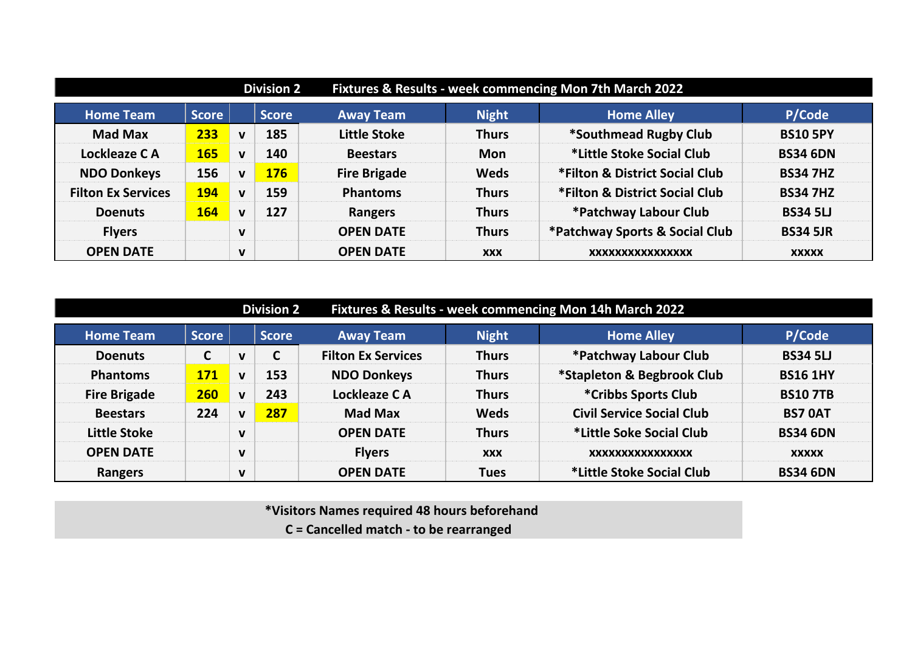|                           | Fixtures & Results - week commencing Mon 7th March 2022<br><b>Division 2</b> |              |              |                     |              |                                |                 |  |  |
|---------------------------|------------------------------------------------------------------------------|--------------|--------------|---------------------|--------------|--------------------------------|-----------------|--|--|
| <b>Home Team</b>          | <b>Score</b>                                                                 |              | <b>Score</b> | <b>Away Team</b>    | <b>Night</b> | <b>Home Alley</b>              | P/Code          |  |  |
| <b>Mad Max</b>            | 233                                                                          | $\mathbf v$  | 185          | <b>Little Stoke</b> | <b>Thurs</b> | *Southmead Rugby Club          | <b>BS10 5PY</b> |  |  |
| Lockleaze CA              | <b>165</b>                                                                   | $\mathbf{V}$ | 140          | <b>Beestars</b>     | <b>Mon</b>   | *Little Stoke Social Club      | <b>BS34 6DN</b> |  |  |
| <b>NDO Donkeys</b>        | 156                                                                          | $\mathbf{V}$ | <b>176</b>   | <b>Fire Brigade</b> | <b>Weds</b>  | *Filton & District Social Club | <b>BS34 7HZ</b> |  |  |
| <b>Filton Ex Services</b> | <b>194</b>                                                                   | $\mathbf v$  | 159          | <b>Phantoms</b>     | <b>Thurs</b> | *Filton & District Social Club | <b>BS34 7HZ</b> |  |  |
| <b>Doenuts</b>            | <b>164</b>                                                                   | $\mathbf v$  | 127          | Rangers             | <b>Thurs</b> | *Patchway Labour Club          | <b>BS34 5LJ</b> |  |  |
| <b>Flyers</b>             |                                                                              | $\mathbf v$  |              | <b>OPEN DATE</b>    | <b>Thurs</b> | *Patchway Sports & Social Club | <b>BS34 5JR</b> |  |  |
| <b>OPEN DATE</b>          |                                                                              | $\mathbf v$  |              | <b>OPEN DATE</b>    | <b>XXX</b>   | XXXXXXXXXXXXXXXX               | <b>XXXXX</b>    |  |  |

|                     | Fixtures & Results - week commencing Mon 14h March 2022<br><b>Division 2</b> |              |              |                           |              |                                  |                 |  |  |  |  |
|---------------------|------------------------------------------------------------------------------|--------------|--------------|---------------------------|--------------|----------------------------------|-----------------|--|--|--|--|
| <b>Home Team</b>    | <b>Score</b>                                                                 |              | <b>Score</b> | <b>Away Team</b>          | <b>Night</b> | <b>Home Alley</b>                | P/Code          |  |  |  |  |
| <b>Doenuts</b>      | С                                                                            | $\mathbf v$  | C            | <b>Filton Ex Services</b> | <b>Thurs</b> | *Patchway Labour Club            | <b>BS34 5LJ</b> |  |  |  |  |
| <b>Phantoms</b>     | <b>171</b>                                                                   | $\mathbf v$  | 153          | <b>NDO Donkeys</b>        | <b>Thurs</b> | *Stapleton & Begbrook Club       | <b>BS16 1HY</b> |  |  |  |  |
| <b>Fire Brigade</b> | 260                                                                          | $\mathbf{v}$ | 243          | Lockleaze CA              | <b>Thurs</b> | *Cribbs Sports Club              | <b>BS107TB</b>  |  |  |  |  |
| <b>Beestars</b>     | 224                                                                          | $\mathbf{v}$ | 287          | <b>Mad Max</b>            | <b>Weds</b>  | <b>Civil Service Social Club</b> | <b>BS7 OAT</b>  |  |  |  |  |
| <b>Little Stoke</b> |                                                                              | $\mathbf v$  |              | <b>OPEN DATE</b>          | <b>Thurs</b> | *Little Soke Social Club         | <b>BS34 6DN</b> |  |  |  |  |
| <b>OPEN DATE</b>    |                                                                              | $\mathbf v$  |              | <b>Flyers</b>             | <b>XXX</b>   | XXXXXXXXXXXXXXXX                 | <b>XXXXX</b>    |  |  |  |  |
| <b>Rangers</b>      |                                                                              | $\mathbf v$  |              | <b>OPEN DATE</b>          | <b>Tues</b>  | *Little Stoke Social Club        | <b>BS34 6DN</b> |  |  |  |  |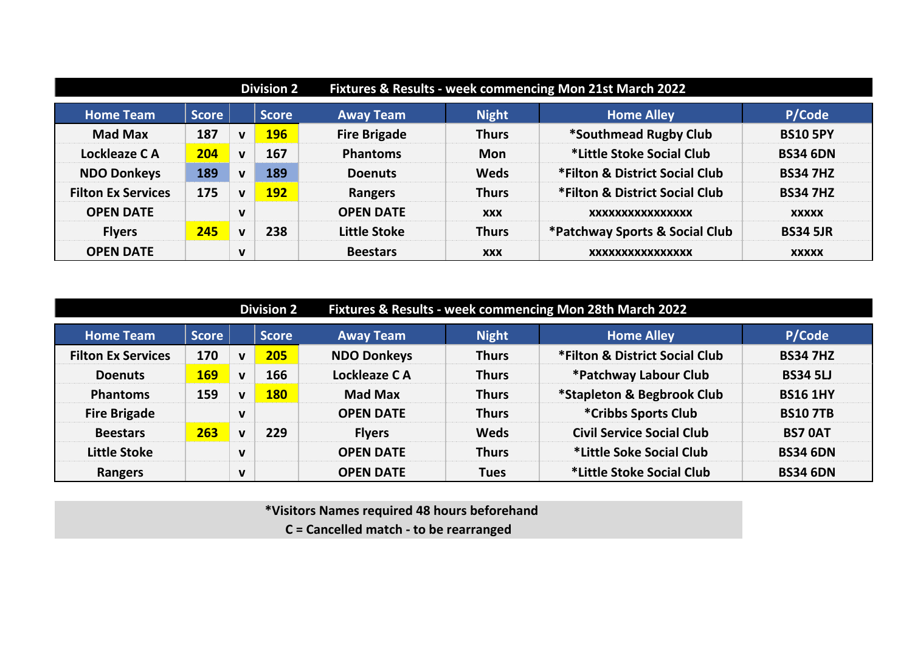| Fixtures & Results - week commencing Mon 21st March 2022<br><b>Division 2</b> |              |              |              |                     |              |                                |                 |  |  |
|-------------------------------------------------------------------------------|--------------|--------------|--------------|---------------------|--------------|--------------------------------|-----------------|--|--|
| <b>Home Team</b>                                                              | <b>Score</b> |              | <b>Score</b> | <b>Away Team</b>    | <b>Night</b> | <b>Home Alley</b>              | P/Code          |  |  |
| <b>Mad Max</b>                                                                | 187          | $\mathbf v$  | <b>196</b>   | <b>Fire Brigade</b> | <b>Thurs</b> | *Southmead Rugby Club          | <b>BS10 5PY</b> |  |  |
| Lockleaze CA                                                                  | 204          | $\mathbf{v}$ | 167          | <b>Phantoms</b>     | <b>Mon</b>   | *Little Stoke Social Club      | <b>BS34 6DN</b> |  |  |
| <b>NDO Donkeys</b>                                                            | 189          | $\mathbf{V}$ | 189          | <b>Doenuts</b>      | <b>Weds</b>  | *Filton & District Social Club | <b>BS34 7HZ</b> |  |  |
| <b>Filton Ex Services</b>                                                     | 175          | $\mathbf v$  | <b>192</b>   | Rangers             | <b>Thurs</b> | *Filton & District Social Club | <b>BS34 7HZ</b> |  |  |
| <b>OPEN DATE</b>                                                              |              | $\mathbf v$  |              | <b>OPEN DATE</b>    | <b>XXX</b>   | XXXXXXXXXXXXXXXX               | <b>XXXXX</b>    |  |  |
| <b>Flyers</b>                                                                 | 245          | $\mathbf v$  | 238          | Little Stoke        | <b>Thurs</b> | *Patchway Sports & Social Club | <b>BS34 5JR</b> |  |  |
| <b>OPEN DATE</b>                                                              |              | $\mathbf v$  |              | <b>Beestars</b>     | <b>XXX</b>   | XXXXXXXXXXXXXXXX               | <b>XXXXX</b>    |  |  |

|                           |              |              | <b>Division 2</b> |                    |              | Fixtures & Results - week commencing Mon 28th March 2022 |                 |
|---------------------------|--------------|--------------|-------------------|--------------------|--------------|----------------------------------------------------------|-----------------|
| <b>Home Team</b>          | <b>Score</b> |              | <b>Score</b>      | <b>Away Team</b>   | <b>Night</b> | <b>Home Alley</b>                                        | P/Code          |
| <b>Filton Ex Services</b> | 170          | $\mathbf v$  | 205               | <b>NDO Donkeys</b> | <b>Thurs</b> | *Filton & District Social Club                           | <b>BS34 7HZ</b> |
| <b>Doenuts</b>            | <b>169</b>   | $\mathbf v$  | 166               | Lockleaze CA       | <b>Thurs</b> | *Patchway Labour Club                                    | <b>BS34 5LJ</b> |
| <b>Phantoms</b>           | 159          | $\mathbf{v}$ | <b>180</b>        | <b>Mad Max</b>     | <b>Thurs</b> | *Stapleton & Begbrook Club                               | <b>BS16 1HY</b> |
| <b>Fire Brigade</b>       |              | $\mathbf v$  |                   | <b>OPEN DATE</b>   | <b>Thurs</b> | *Cribbs Sports Club                                      | <b>BS10 7TB</b> |
| <b>Beestars</b>           | 263          | $\mathbf v$  | 229               | <b>Flyers</b>      | <b>Weds</b>  | <b>Civil Service Social Club</b>                         | <b>BS7 OAT</b>  |
| <b>Little Stoke</b>       |              | $\mathbf v$  |                   | <b>OPEN DATE</b>   | <b>Thurs</b> | *Little Soke Social Club                                 | <b>BS34 6DN</b> |
| Rangers                   |              | $\mathbf v$  |                   | <b>OPEN DATE</b>   | <b>Tues</b>  | *Little Stoke Social Club                                | <b>BS34 6DN</b> |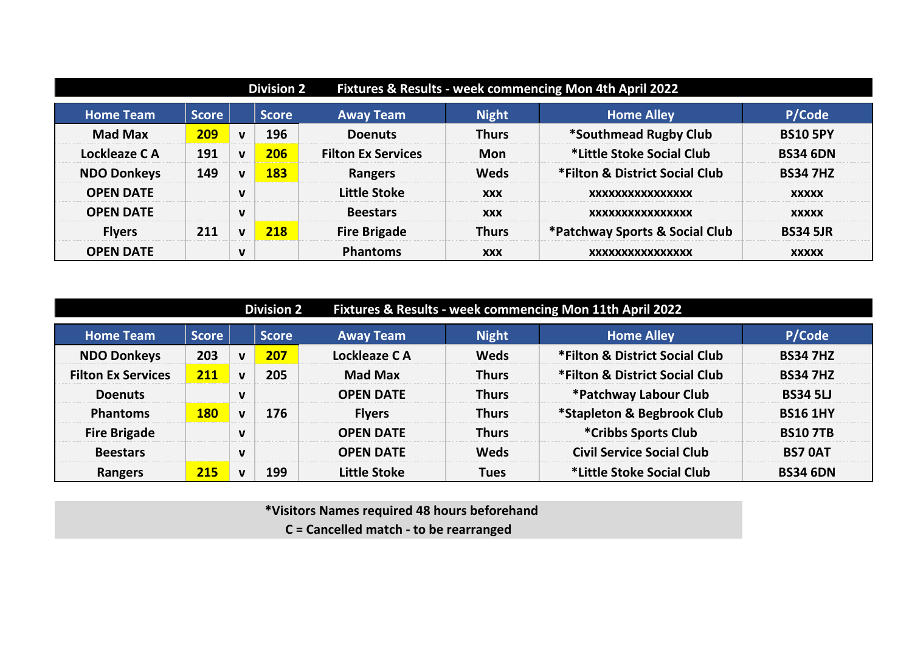| Fixtures & Results - week commencing Mon 4th April 2022<br><b>Division 2</b> |              |              |              |                           |              |                                |                 |  |  |  |  |
|------------------------------------------------------------------------------|--------------|--------------|--------------|---------------------------|--------------|--------------------------------|-----------------|--|--|--|--|
| <b>Home Team</b>                                                             | <b>Score</b> |              | <b>Score</b> | <b>Away Team</b>          | <b>Night</b> | <b>Home Alley</b>              | P/Code          |  |  |  |  |
| <b>Mad Max</b>                                                               | 209          | $\mathbf{v}$ | 196          | <b>Doenuts</b>            | <b>Thurs</b> | *Southmead Rugby Club          | <b>BS10 5PY</b> |  |  |  |  |
| Lockleaze CA                                                                 | 191          | $\mathbf v$  | 206          | <b>Filton Ex Services</b> | <b>Mon</b>   | *Little Stoke Social Club      | <b>BS34 6DN</b> |  |  |  |  |
| <b>NDO Donkeys</b>                                                           | 149          | $\mathbf{V}$ | 183          | Rangers                   | <b>Weds</b>  | *Filton & District Social Club | <b>BS34 7HZ</b> |  |  |  |  |
| <b>OPEN DATE</b>                                                             |              | $\mathbf v$  |              | Little Stoke              | <b>XXX</b>   | XXXXXXXXXXXXXXXX               | <b>XXXXX</b>    |  |  |  |  |
| <b>OPEN DATE</b>                                                             |              | $\mathbf v$  |              | <b>Beestars</b>           | <b>XXX</b>   | XXXXXXXXXXXXXXXX               | <b>XXXXX</b>    |  |  |  |  |
| <b>Flyers</b>                                                                | 211          | $\mathbf v$  | 218          | <b>Fire Brigade</b>       | <b>Thurs</b> | *Patchway Sports & Social Club | <b>BS34 5JR</b> |  |  |  |  |
| <b>OPEN DATE</b>                                                             |              | $\mathbf v$  |              | <b>Phantoms</b>           | <b>XXX</b>   | <b>XXXXXXXXXXXXXXXX</b>        | <b>XXXXX</b>    |  |  |  |  |

|                           | Fixtures & Results - week commencing Mon 11th April 2022<br><b>Division 2</b> |              |              |                     |              |                                  |                 |  |  |
|---------------------------|-------------------------------------------------------------------------------|--------------|--------------|---------------------|--------------|----------------------------------|-----------------|--|--|
| <b>Home Team</b>          | <b>Score</b>                                                                  |              | <b>Score</b> | <b>Away Team</b>    | <b>Night</b> | <b>Home Alley</b>                | P/Code          |  |  |
| <b>NDO Donkeys</b>        | 203                                                                           | $\mathbf v$  | 207          | Lockleaze CA        | <b>Weds</b>  | *Filton & District Social Club   | <b>BS34 7HZ</b> |  |  |
| <b>Filton Ex Services</b> | 211                                                                           | $\mathbf v$  | 205          | <b>Mad Max</b>      | <b>Thurs</b> | *Filton & District Social Club   | <b>BS34 7HZ</b> |  |  |
| <b>Doenuts</b>            |                                                                               | $\mathbf v$  |              | <b>OPEN DATE</b>    | <b>Thurs</b> | *Patchway Labour Club            | <b>BS34 5LJ</b> |  |  |
| <b>Phantoms</b>           | <b>180</b>                                                                    | $\mathbf v$  | 176          | <b>Flyers</b>       | <b>Thurs</b> | *Stapleton & Begbrook Club       | <b>BS16 1HY</b> |  |  |
| <b>Fire Brigade</b>       |                                                                               | $\mathbf v$  |              | <b>OPEN DATE</b>    | <b>Thurs</b> | *Cribbs Sports Club              | <b>BS107TB</b>  |  |  |
| <b>Beestars</b>           |                                                                               | $\mathbf v$  |              | <b>OPEN DATE</b>    | <b>Weds</b>  | <b>Civil Service Social Club</b> | <b>BS7 OAT</b>  |  |  |
| <b>Rangers</b>            | 215                                                                           | $\mathbf{v}$ | 199          | <b>Little Stoke</b> | <b>Tues</b>  | *Little Stoke Social Club        | <b>BS34 6DN</b> |  |  |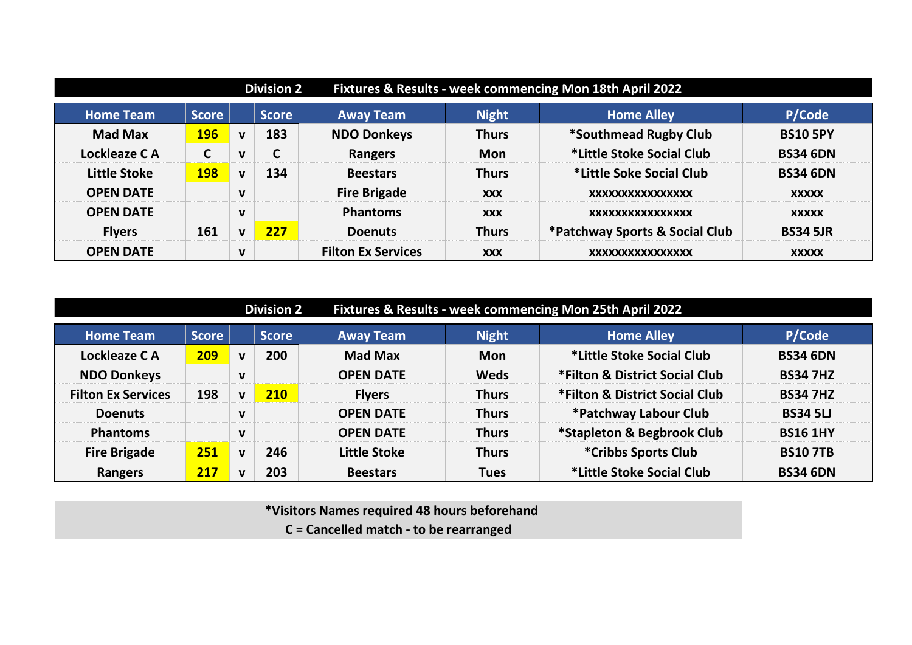|                     |              |              | <b>Division 2</b> |                           | Fixtures & Results - week commencing Mon 18th April 2022 |                                |                 |  |  |
|---------------------|--------------|--------------|-------------------|---------------------------|----------------------------------------------------------|--------------------------------|-----------------|--|--|
| <b>Home Team</b>    | <b>Score</b> |              | <b>Score</b>      | <b>Away Team</b>          | <b>Night</b>                                             | <b>Home Alley</b>              | P/Code          |  |  |
| <b>Mad Max</b>      | <b>196</b>   | $\mathbf v$  | 183               | <b>NDO Donkeys</b>        | <b>Thurs</b>                                             | *Southmead Rugby Club          | <b>BS10 5PY</b> |  |  |
| Lockleaze CA        | ◠<br>L       | $\mathbf{V}$ | $\mathsf{C}$      | Rangers                   | <b>Mon</b>                                               | *Little Stoke Social Club      | <b>BS34 6DN</b> |  |  |
| <b>Little Stoke</b> | <b>198</b>   | $\mathbf v$  | 134               | <b>Beestars</b>           | <b>Thurs</b>                                             | *Little Soke Social Club       | <b>BS34 6DN</b> |  |  |
| <b>OPEN DATE</b>    |              | $\mathbf v$  |                   | <b>Fire Brigade</b>       | <b>XXX</b>                                               | XXXXXXXXXXXXXXXX               | <b>XXXXX</b>    |  |  |
| <b>OPEN DATE</b>    |              | $\mathbf v$  |                   | <b>Phantoms</b>           | <b>XXX</b>                                               | XXXXXXXXXXXXXXXX               | <b>XXXXX</b>    |  |  |
| <b>Flyers</b>       | 161          | $\mathbf{v}$ | 227               | <b>Doenuts</b>            | <b>Thurs</b>                                             | *Patchway Sports & Social Club | <b>BS34 5JR</b> |  |  |
| <b>OPEN DATE</b>    |              | $\mathbf v$  |                   | <b>Filton Ex Services</b> | <b>XXX</b>                                               | XXXXXXXXXXXXXXXX               | <b>XXXXX</b>    |  |  |

|                           |              |              | <b>Division 2</b> | Fixtures & Results - week commencing Mon 25th April 2022 |              |                                |                 |  |
|---------------------------|--------------|--------------|-------------------|----------------------------------------------------------|--------------|--------------------------------|-----------------|--|
| <b>Home Team</b>          | <b>Score</b> |              | <b>Score</b>      | <b>Away Team</b>                                         | <b>Night</b> | <b>Home Alley</b>              | P/Code          |  |
| Lockleaze CA              | 209          | $\mathbf v$  | 200               | <b>Mad Max</b>                                           | <b>Mon</b>   | *Little Stoke Social Club      | <b>BS34 6DN</b> |  |
| <b>NDO Donkeys</b>        |              | $\mathbf v$  |                   | <b>OPEN DATE</b>                                         | <b>Weds</b>  | *Filton & District Social Club | <b>BS34 7HZ</b> |  |
| <b>Filton Ex Services</b> | 198          | $\mathbf{v}$ | 210               | <b>Flyers</b>                                            | <b>Thurs</b> | *Filton & District Social Club | <b>BS34 7HZ</b> |  |
| <b>Doenuts</b>            |              | $\mathbf v$  |                   | <b>OPEN DATE</b>                                         | <b>Thurs</b> | *Patchway Labour Club          | <b>BS34 5LJ</b> |  |
| <b>Phantoms</b>           |              | $\mathbf{V}$ |                   | <b>OPEN DATE</b>                                         | <b>Thurs</b> | *Stapleton & Begbrook Club     | <b>BS16 1HY</b> |  |
| <b>Fire Brigade</b>       | 251          | $\mathbf{v}$ | 246               | Little Stoke                                             | <b>Thurs</b> | *Cribbs Sports Club            | <b>BS107TB</b>  |  |
| <b>Rangers</b>            | 217          | v            | 203               | <b>Beestars</b>                                          | <b>Tues</b>  | *Little Stoke Social Club      | <b>BS34 6DN</b> |  |